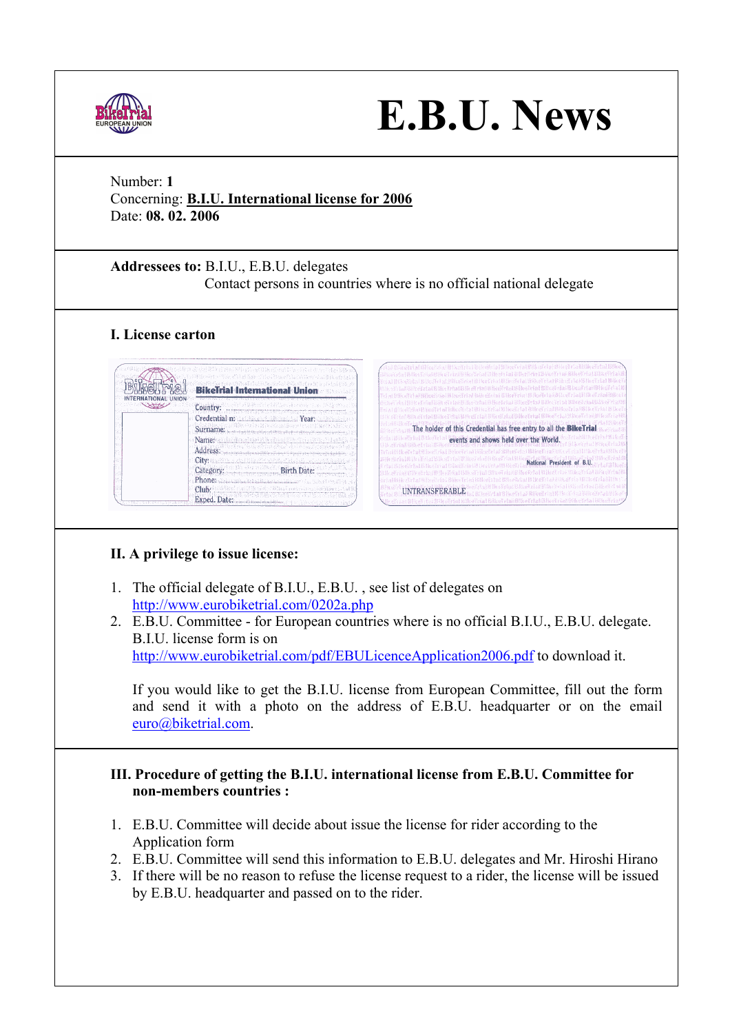

# **E.B.U. News**

# Number: **1**

Concerning: **B.I.U. International license for 2006** Date: **08. 02. 2006**

**Addressees to:** B.I.U., E.B.U. delegates Contact persons in countries where is no official national delegate

# **I. License carton**



# **II. A privilege to issue license:**

- 1. The official delegate of B.I.U., E.B.U. , see list of delegates on http://www.eurobiketrial.com/0202a.php
- 2. E.B.U. Committee for European countries where is no official B.I.U., E.B.U. delegate. B.I.U. license form is on http://www.eurobiketrial.com/pdf/EBULicenceApplication2006.pdf to download it.

If you would like to get the B.I.U. license from European Committee, fill out the form and send it with a photo on the address of E.B.U. headquarter or on the email euro@biketrial.com.

### **III. Procedure of getting the B.I.U. international license from E.B.U. Committee for non-members countries :**

- 1. E.B.U. Committee will decide about issue the license for rider according to the Application form
- 2. E.B.U. Committee will send this information to E.B.U. delegates and Mr. Hiroshi Hirano
- 3. If there will be no reason to refuse the license request to a rider, the license will be issued by E.B.U. headquarter and passed on to the rider.